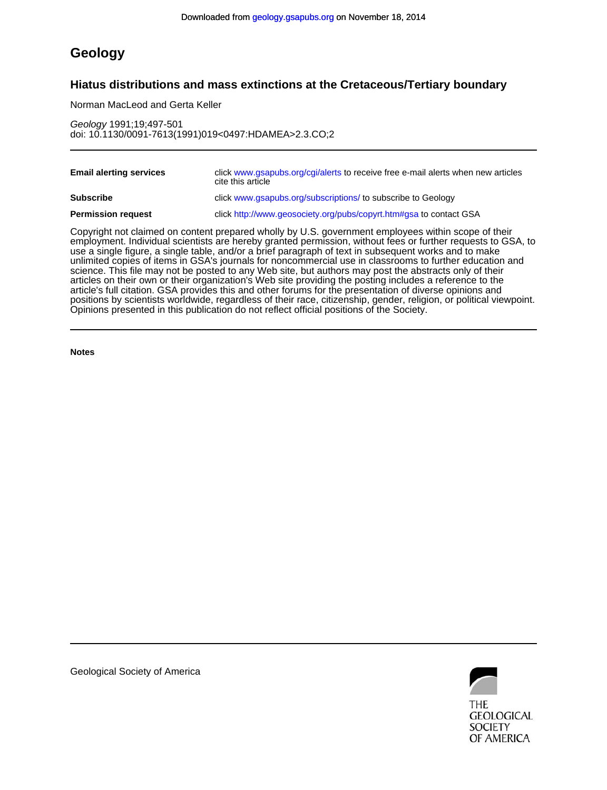## **Geology**

### **Hiatus distributions and mass extinctions at the Cretaceous/Tertiary boundary**

Norman MacLeod and Gerta Keller

doi: 10.1130/0091-7613(1991)019<0497:HDAMEA>2.3.CO;2 Geology 1991;19;497-501

| <b>Email alerting services</b> | click www.gsapubs.org/cgi/alerts to receive free e-mail alerts when new articles<br>cite this article |
|--------------------------------|-------------------------------------------------------------------------------------------------------|
| <b>Subscribe</b>               | click www.gsapubs.org/subscriptions/ to subscribe to Geology                                          |
| <b>Permission request</b>      | click http://www.geosociety.org/pubs/copyrt.htm#gsa to contact GSA                                    |

Opinions presented in this publication do not reflect official positions of the Society. positions by scientists worldwide, regardless of their race, citizenship, gender, religion, or political viewpoint. article's full citation. GSA provides this and other forums for the presentation of diverse opinions and articles on their own or their organization's Web site providing the posting includes a reference to the science. This file may not be posted to any Web site, but authors may post the abstracts only of their unlimited copies of items in GSA's journals for noncommercial use in classrooms to further education and use a single figure, a single table, and/or a brief paragraph of text in subsequent works and to make employment. Individual scientists are hereby granted permission, without fees or further requests to GSA, to Copyright not claimed on content prepared wholly by U.S. government employees within scope of their

**Notes**



Geological Society of America

**GEOLOGICAL SOCIETY** OF AMERICA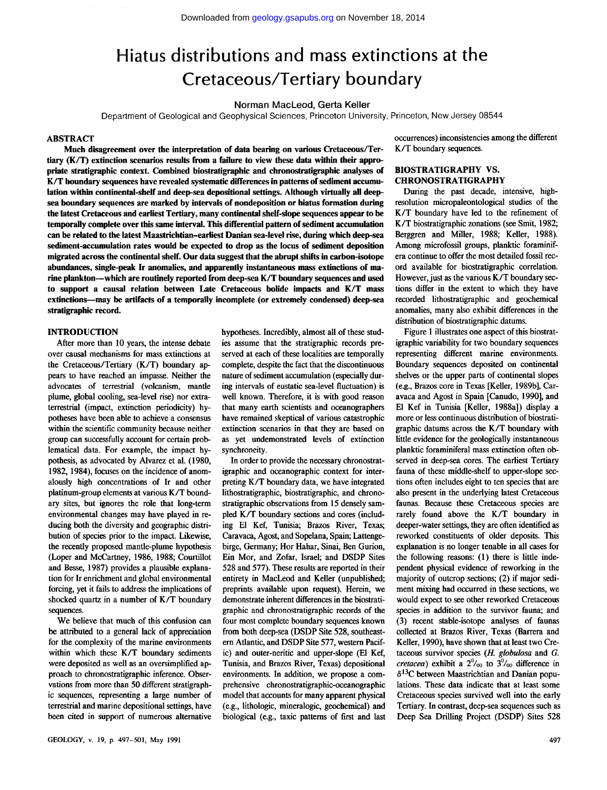# Hiatus distributions and mass extinctions at the Cretaceous/Tertiary boundary

**Norman MacLeod, Gerta Keller** 

Department of Geological and Geophysical Sciences, Princeton University, Princeton, New Jersey 08544

#### **ABSTRACT**

**Much disagreement over the interpretation of data bearing on various Cretaceous/Tertiary (K/T) extinction scenarios results from a failure to view these data within their appropriate stratigraphie context. Combined biostratigraphic and chronostratigraphic analyses of K/T boundary sequences have revealed systematic differences in patterns of sediment accumulation within continental-shelf and deep-sea depositional settings. Although virtually all deepsea boundary sequences are marked by intervals of nondeposition or hiatus formation during the latest Cretaceous and earliest Tertiary, many continental shelf-slope sequences appear to be temporally complete over this same interval. This differential pattern of sediment accumulation can be related to the latest Maastrichtian-earliest Danian sea-level rise, during which deep-sea sediment-accumulation rates would be expected to drop as the locus of sediment deposition migrated across the continental shelf. Our data suggest that the abrupt shifts in carbon-isotope abundances, single-peak Ir anomalies, and apparently instantaneous mass extinctions of marine plankton—which are routinely reported from deep-sea K/T boundary sequences and used to support a causal relation between Late Cretaceous bolide impacts and K/T mass extinctions—may be artifacts of a temporally incomplete (or extremely condensed) deep-sea stratigraphie record.** 

#### **INTRODUCTION**

After more than 10 years, the intense debate over causal mechanisms for mass extinctions at the Cretaceous/Tertiary (K/T) boundary appears to have reached an impasse. Neither the advocates of terrestrial (volcanism, mantle plume, global cooling, sea-level rise) nor extraterrestrial (impact, extinction periodicity) hypotheses have been able to achieve a consensus within the scientific community because neither group can successfully account for certain problematical data. For example, the impact hypothesis, as advocated by Alvarez et al. (1980, 1982,1984), focuses on the incidence of anomalously high concentrations of Ir and other platinum-group elements at various K/T boundary sites, but ignores the role that long-term environmental changes may have played in reducing both the diversity and geographic distribution of species prior to the impact. Likewise, the recently proposed mantle-plume hypothesis (Loper and McCartney, 1986, 1988; Courtillot and Besse, 1987) provides a plausible explanation for Ir enrichment and global environmental forcing, yet it fails to address the implications of shocked quartz in a number of K/T boundary sequences.

We believe that much of this confusion can be attributed to a general lack of appreciation for the complexity of the marine environments within which these K/T boundary sediments were deposited as well as an oversimplified approach to chronostratigraphic inference. Observations from more than 50 different stratigraphic sequences, representing a large number of terrestrial and marine depositional settings, have been cited in support of numerous alternative hypotheses. Incredibly, almost all of these studies assume that the stratigraphie records preserved at each of these localities are temporally complete, despite the fact that the discontinuous nature of sediment accumulation (especially during intervals of eustatic sea-level fluctuation) is well known. Therefore, it is with good reason that many earth scientists and oceanographers have remained skeptical of various catastrophic extinction scenarios in that they are based on as yet undemonstrated levels of extinction synchroneity.

In order to provide the necessary chronostratigraphic and oceanographic context for interpreting K/T boundary data, we have integrated lithostratigraphic, biostratigraphic, and chronostratigraphic observations from 15 densely sampled K/T boundary sections and cores (including El Kef, Tunisia; Brazos River, Texas; Caravaca, Agost, and Sopelana, Spain; Lattengebirge, Germany; Hor Hahar, Sinai, Ben Gurion, Ein Mor, and Zofar, Israel; and DSDP Sites 528 and 577). These results are reported in their entirety in MacLeod and Keller (unpublished; preprints available upon request). Herein, we demonstrate inherent differences in the biostratigraphic and chronostratigraphic records of the four most complete boundary sequences known from both deep-sea (DSDP Site 528, southeastern Atlantic, and DSDP Site 577, western Pacific) and outer-neritic and upper-slope (El Kef, Tunisia, and Brazos River, Texas) depositional environments. In addition, we propose a comprehensive chronostratigraphic-oceanographic model that accounts for many apparent physical (e.g., lithologie, minéralogie, geochemical) and biological (e.g., taxic patterns of first and last occurrences) inconsistencies among the different K/T boundary sequences.

#### **BIOSTRATIGRAPHY VS. CHRONOSTRATIGRAPHY**

During the past decade, intensive, highresolution micropaleontological studies of the K /T boundary have led to the refinement of K /T biostratigraphic zonations (see Smit, 1982; Berggren and Miller, 1988; Keller, 1988). Among microfossil groups, planktic foraminifera continue to offer the most detailed fossil record available for biostratigraphic correlation. However, just as the various K/T boundary sections differ in the extent to which they have recorded lithostratigraphic and geochemical anomalies, many also exhibit differences in the distribution of biostratigraphic datums.

Figure 1 illustrates one aspect of this biostratigraphic variability for two boundary sequences representing different marine environments. Boundary sequences deposited on continental shelves or the upper parts of continental slopes (e.g., Brazos core in Texas [Keller, 1989b], Caravaca and Agost in Spain [Canudo, 1990], and El Kef in Tunisia [Keller, 1988a]) display a more or less continuous distribution of biostratigraphic datums across the K/T boundary with little evidence for the geologically instantaneous planktic foraminiferal mass extinction often observed in deep-sea cores. The earliest Tertiary fauna of these middle-shelf to upper-slope sections often includes eight to ten species that are also present in the underlying latest Cretaceous faunas. Because these Cretaceous species are rarely found above the K/T boundary in deeper-water settings, they are often identified as reworked constituents of older deposits. This explanation is no longer tenable in all cases for the following reasons: (1) there is little independent physical evidence of reworking in the majority of outcrop sections; (2) if major sediment mixing had occurred in these sections, we would expect to see other reworked Cretaceous species in addition to the survivor fauna; and (3) recent stable-isotope analyses of faunas collected at Brazos River, Texas (Barrera and Keller, 1990), have shown that at least two Cretaceous survivor species *(H. globulosa* and *G.*   $r_{\text{at}}$  and  $r_{\text{in}}$  and  $r_{\text{out}}$  and  $r_{\text{out}}$  and  $r_{\text{out}}$  and  $r_{\text{out}}$  and  $r_{\text{out}}$  and  $r_{\text{out}}$  $\delta^{13}$ C between Maastrichtian and Danian populations. These data indicate that at least some Cretaceous species survived well into the early Tertiary. In contrast, deep-sea sequences such as Deep Sea Drilling Project (DSDP) Sites 528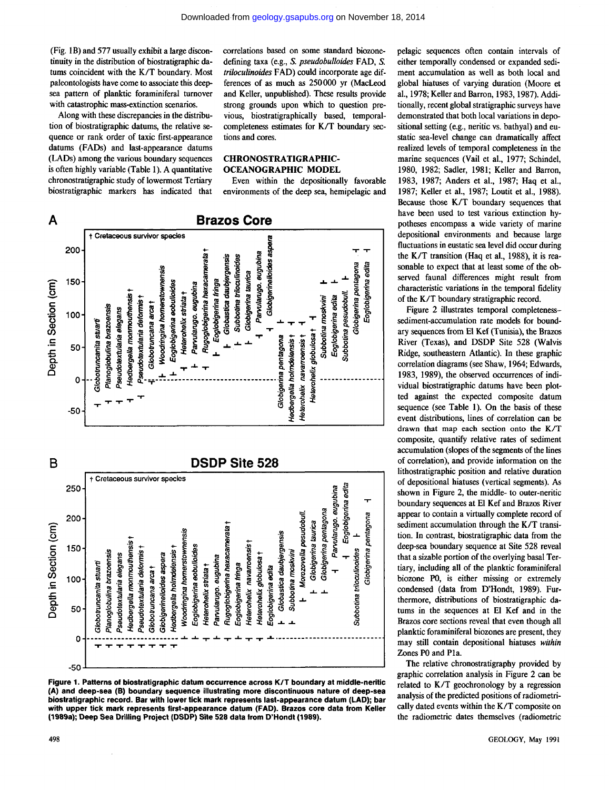(Fig. 1B) and 577 usually exhibit a large discontinuity in the distribution of biostratigraphic datums coincident with the K/T boundary. Most paleontologists have come to associate this deepsea pattern of planktic foraminiferal turnover with catastrophic mass-extinction scenarios.

Along with these discrepancies in the distribution of biostratigraphic datums, the relative sequence or rank order of taxic first-appearance datums (FADs) and last-appearance datums (LADs) among the various boundary sequences is often highly variable (Table 1). A quantitative chronostratigraphic study of lowermost Tertiary biostratigraphic markers has indicated that correlations based on some standard biozonedefining taxa (e.g., S. pseudobulloides FAD, S. triloculinoides FAD) could incorporate age differences of as much as 250000 yr (MacLeod and Keller, unpublished). These results provide strong grounds upon which to question previous, biostratigraphically based, temporalcompleteness estimates for K/T boundary sections and cores.

#### **CHRONOSTRATIGRAPHIC-OCEANOGRAPHIC MODEL**

Even within the depositionally favorable environments of the deep sea, hemipelagic and



Figure 1. Patterns of biostratigraphic datum occurrence across K/T boundary at middle-neritic (A) and deep-sea (B) boundary sequence illustrating more discontinuous nature of deep-sea biostratigraphic record. Bar with lower tick mark represents last-appearance datum (LAD); bar with upper tick mark represents first-appearance datum (FAD). Brazos core data from Keller (1989a); Deep Sea Drilling Project (DSDP) Site 528 data from D'Hondt (1989).

pelagic sequences often contain intervals of either temporally condensed or expanded sediment accumulation as well as both local and global hiatuses of varying duration (Moore et al., 1978; Keller and Barron, 1983, 1987). Additionally, recent global stratigraphic surveys have demonstrated that both local variations in depositional setting (e.g., neritic vs. bathyal) and eustatic sea-level change can dramatically affect realized levels of temporal completeness in the marine sequences (Vail et al., 1977; Schindel, 1980, 1982; Sadler, 1981; Keller and Barron, 1983, 1987; Anders et al., 1987; Haq et al., 1987; Keller et al., 1987; Loutit et al., 1988). Because those K/T boundary sequences that have been used to test various extinction hypotheses encompass a wide variety of marine depositional environments and because large fluctuations in eustatic sea level did occur during the K/T transition (Haq et al., 1988), it is reasonable to expect that at least some of the observed faunal differences might result from characteristic variations in the temporal fidelity of the K/T boundary stratigraphic record.

Figure 2 illustrates temporal completenesssediment-accumulation rate models for boundary sequences from El Kef (Tunisia), the Brazos River (Texas), and DSDP Site 528 (Walvis Ridge, southeastern Atlantic). In these graphic correlation diagrams (see Shaw, 1964; Edwards, 1983, 1989), the observed occurrences of individual biostratigraphic datums have been plotted against the expected composite datum sequence (see Table 1). On the basis of these event distributions, lines of correlation can be drawn that map each section onto the K/T composite, quantify relative rates of sediment accumulation (slopes of the segments of the lines of correlation), and provide information on the lithostratigraphic position and relative duration of depositional hiatuses (vertical segments). As shown in Figure 2, the middle- to outer-neritic boundary sequences at El Kef and Brazos River appear to contain a virtually complete record of sediment accumulation through the K/T transition. In contrast, biostratigraphic data from the deep-sea boundary sequence at Site 528 reveal that a sizable portion of the overlying basal Tertiary, including all of the planktic foraminiferal biozone P0, is either missing or extremely condensed (data from D'Hondt, 1989). Furthermore, distributions of biostratigraphic datums in the sequences at El Kef and in the Brazos core sections reveal that even though all planktic foraminiferal biozones are present, they may still contain depositional hiatuses within Zones P0 and P1a.

The relative chronostratigraphy provided by graphic correlation analysis in Figure 2 can be related to K/T geochronology by a regression analysis of the predicted positions of radiometrically dated events within the K/T composite on the radiometric dates themselves (radiometric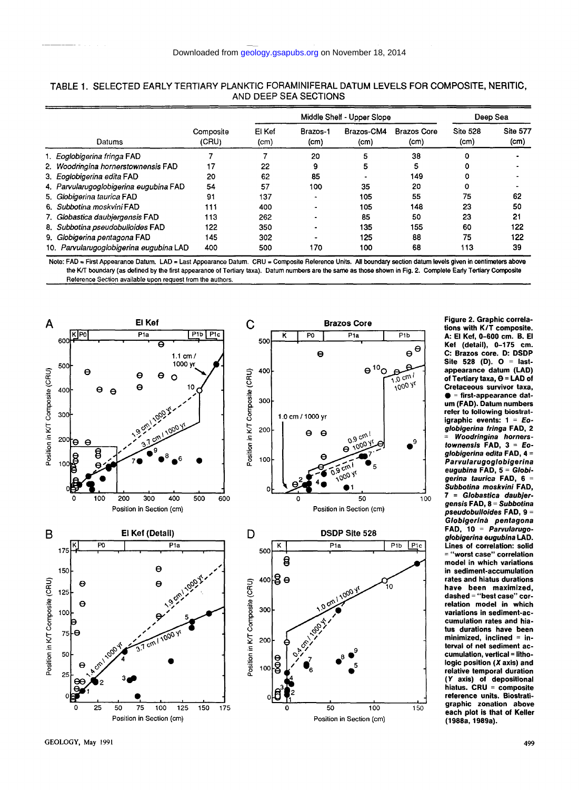|  | Datums                                  | Composite<br>(CRU) | Middle Shelf - Upper Slope |                               |                                 |                                         | Deep Sea                             |                         |
|--|-----------------------------------------|--------------------|----------------------------|-------------------------------|---------------------------------|-----------------------------------------|--------------------------------------|-------------------------|
|  |                                         |                    | El Kef<br>(cm)             | Brazos-1<br>(c <sub>m</sub> ) | Brazos-CM4<br>(c <sub>m</sub> ) | <b>Brazos Core</b><br>(c <sub>m</sub> ) | <b>Site 528</b><br>(c <sub>m</sub> ) | <b>Site 577</b><br>(cm) |
|  | 1. Eoglobigerina fringa FAD             |                    |                            | 20                            | 5                               | 38                                      | ٥                                    |                         |
|  | 2. Woodringina hornerstownensis FAD     | 17                 | 22                         | 9                             | 5                               | 5                                       | 0                                    |                         |
|  | 3. Eoglobigerina edita FAD              | 20                 | 62                         | 85                            |                                 | 149                                     | 0                                    |                         |
|  | 4. Parvularugoglobigerina eugubina FAD  | 54                 | 57                         | 100                           | 35                              | 20                                      | 0                                    |                         |
|  | 5. Globigerina taurica FAD              | 91                 | 137                        | -                             | 105                             | 55                                      | 75                                   | 62                      |
|  | 6. Subbotina moskvini FAD               | 111                | 400                        |                               | 105                             | 148                                     | 23                                   | 50                      |
|  | 7. Globastica daubiergensis FAD         | 113                | 262                        |                               | 85                              | 50                                      | 23                                   | 21                      |
|  | 8. Subbotina pseudobulloides FAD        | 122                | 350                        |                               | 135                             | 155                                     | 60                                   | 122                     |
|  | 9. Globigerina pentagona FAD            | 145                | 302                        |                               | 125                             | 88                                      | 75                                   | 122                     |
|  | 10. Parvularugoglobigerina eugubina LAD | 400                | 500                        | 170                           | 100                             | 68                                      | 113                                  | 39                      |

|  |                       | TABLE 1. SELECTED EARLY TERTIARY PLANKTIC FORAMINIFERAL DATUM LEVELS FOR COMPOSITE, NERITIC, |  |
|--|-----------------------|----------------------------------------------------------------------------------------------|--|
|  | AND DEEP SEA SECTIONS |                                                                                              |  |

Note: FAD = First Appearance Datum. LAD = Last Appearance Datum. CRU = Composite Reference Units. All boundary section datum levels given in centimeters above the K/T boundary (as defined by the first appearance of Tertiary taxa). Datum numbers are the same as those shown in Fig. 2. Complete Early Tertiary Composite Reference Section available upon request from the authors.



**Figure 2. Graphic correlations with K/T composite. A: El Kef, 0-600 cm. B. El Kef (detail), 0-175 cm. C: Brazos core. D: DSDP Site 528 (D). O = lastappearance datum (LAD) of Tertiary taxa, 6 = LAD of Cretaceous survivor taxa, • = first-appearance datum (FAD). Datum numbers refer to following biostratigraphic events:** 1 = **Eoglobigerina fringa FAD, 2 = Woodringina homerstownensis FAD, 3 = Eoglobigerina édita FAD, 4 = Parvularugoglobigerina eugubina FAD, 5 = Globigerina taurica FAD, 6 = Subbotina moskvini FAD, 7 = Globastica daubjergens/'s FAD, 8 = Subbotina pseudobulloides FAD, 9 = Globigerinà pentagona FAD, 10 = Parvularugoglobigerina eugubina LAD. Lines of correlation: solid = "worst case" correlation model in which variations in sediment-accumulation rates and hiatus durations have been maximized, dashed = "best case" correlation model in which variations in sediment-accumulation rates and hiatus durations have been minimized, inclined = interval of net sediment accumulation, vertical = lithologie position (X axis) and relative temporal duration (Y axis) of depositional hiatus. CRU = composite reference units. Biostratigraphic zonation above each plot is that of Keller (1988a, 1989a).**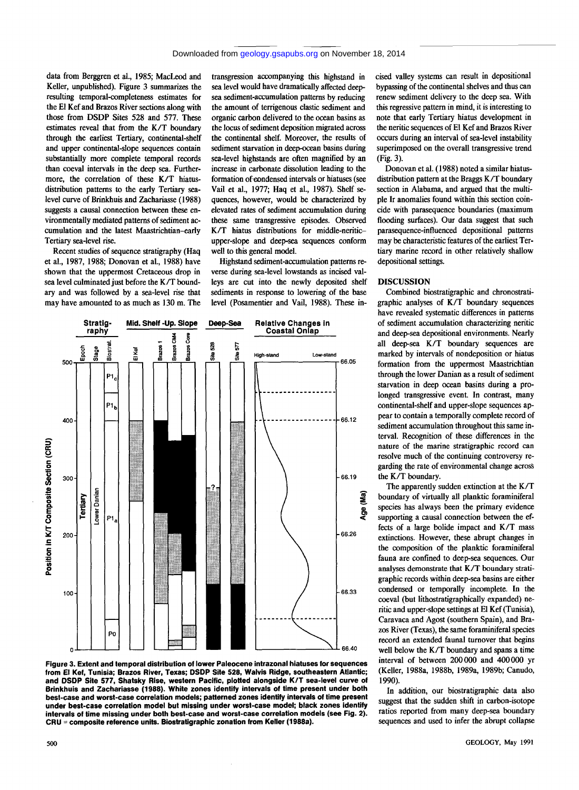data from Berggren et al., 1985; MacLeod and Keller, unpublished). Figure 3 summarizes the resulting temporal-completeness estimates for the El Kef and Brazos River sections along with those from DSDP Sites 528 and 577. These estimates reveal that from the K/T boundary through the earliest Tertiary, continental-shelf and upper continental-slope sequences contain substantially more complete temporal records than coeval intervals in the deep sea. Furthermore, the correlation of these K/T hiatusdistribution patterns to the early Tertiary sealevel curve of Brinkhuis and Zachariasse (1988) suggests a causal connection between these environmentally mediated patterns of sediment accumulation and the latest Maastrichtian-early Tertiary sea-level rise.

Recent studies of sequence stratigraphy (Haq et al., 1987, 1988; Donovan et al., 1988) have shown that the uppermost Cretaceous drop in sea level culminated just before the K/T boundary and was followed by a sea-level rise that may have amounted to as much as 130 m. The

transgression accompanying this highstand in sea level would have dramatically affected deepsea sediment-accumulation patterns by reducing the amount of terrigenous clastic sediment and organic carbon delivered to the ocean basins as the locus of sediment deposition migrated across the continental shelf. Moreover, the results of sediment starvation in deep-ocean basins during sea-level highstands are often magnified by an increase in carbonate dissolution leading to the formation of condensed intervals or hiatuses (see Vail et al, 1977; Haq et al., 1987). Shelf sequences, however, would be characterized by elevated rates of sediment accumulation during these same transgressive episodes. Observed K /T hiatus distributions for middle-neriticupper-slope and deep-sea sequences conform well to this general model.

Highstand sediment-accumulation patterns reverse during sea-level lowstands as incised valleys are cut into the newly deposited shelf sediments in response to lowering of the base level (Posamentier and Vail, 1988). These in-



**Figure 3. Extent and temporal distribution of lower Paleocene intrazonal hiatuses for sequences from El Kef, Tunisia; Brazos River, Texas; DSDP Site 528, Walvis Ridge, southeastern Atlantic; and DSDP Site 577, Shatsky Rise, western Pacific, plotted alongside K/T sea-level curve of Brinkhuis and Zachariasse (1988). White zones identify intervals of time present under both best-case and worst-case correlation models; patterned zones identify intervals of time present under best-case correlation model but missing under worst-case model; black zones identify intervals of time missing under both best-case and worst-case correlation models (see Fig. 2). CRU = composite reference units. Biostratigraphic zonation from Keller (1988a).** 

cised valley systems can result in depositional bypassing of the continental shelves and thus can renew sediment delivery to the deep sea. With this regressive pattern in mind, it is interesting to note that early Tertiary hiatus development in the neritic sequences of El Kef and Brazos River occurs during an interval of sea-level instability superimposed on the overall transgressive trend (Fig. 3).

Donovan et al. (1988) noted a similar hiatusdistribution pattern at the Braggs K/T boundary section in Alabama, and argued that the multiple Ir anomalies found within this section coincide with parasequence boundaries (maximum flooding surfaces). Our data suggest that such parasequence-influenced depositional patterns may be characteristic features of the earliest Tertiary marine record in other relatively shallow depositional settings.

#### **DISCUSSION**

Combined biostratigraphic and chronostratigraphic analyses of K/T boundary sequences have revealed systematic differences in patterns of sediment accumulation characterizing neritic and deep-sea depositional environments. Nearly all deep-sea K/T boundary sequences are marked by intervals of nondeposition or hiatus formation from the uppermost Maastrichtian through the lower Danian as a result of sediment starvation in deep ocean basins during a prolonged transgressive event. In contrast, many continental-shelf and upper-slope sequences appear to contain a temporally complete record of sediment accumulation throughout this same interval. Recognition of these differences in the nature of the marine stratigraphic record can resolve much of the continuing controversy regarding the rate of environmental change across the K/T boundary.

The apparently sudden extinction at the K/T boundary of virtually all planktic foraminiferal species has always been the primary evidence supporting a causal connection between the effects of a large bolide impact and K/T mass extinctions. However, these abrupt changes in the composition of the planktic foraminiferal fauna are confined to deep-sea sequences. Our analyses demonstrate that K/T boundary stratigraphic records within deep-sea basins are either condensed or temporally incomplete. In the coeval (but lithostratigraphically expanded) neritic and upper-slope settings at El Kef (Tunisia), Caravaca and Agost (southern Spain), and Brazos River (Texas), the same foraminiferal species record an extended faunal turnover that begins well below the K/T boundary and spans a time interval of between 200000 and 400000 yr (Keller, 1988a, 1988b, 1989a, 1989b; Canudo, 1990).

In addition, our biostratigraphic data also suggest that the sudden shift in carbon-isotope ratios reported from many deep-sea boundary sequences and used to infer the abrupt collapse